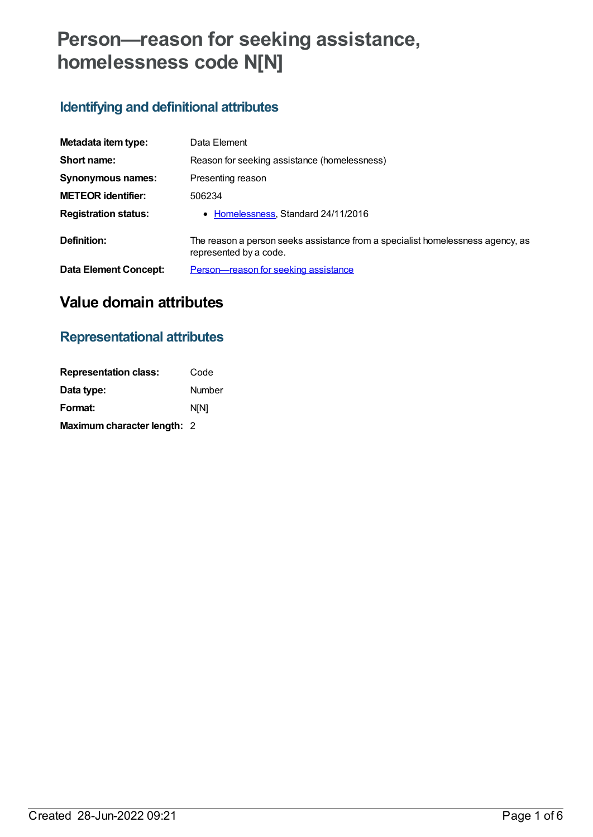# **Person—reason for seeking assistance, homelessness code N[N]**

# **Identifying and definitional attributes**

| Metadata item type:          | Data Element                                                                                             |
|------------------------------|----------------------------------------------------------------------------------------------------------|
| Short name:                  | Reason for seeking assistance (homelessness)                                                             |
| Synonymous names:            | Presenting reason                                                                                        |
| <b>METEOR identifier:</b>    | 506234                                                                                                   |
| <b>Registration status:</b>  | • Homelessness, Standard 24/11/2016                                                                      |
| Definition:                  | The reason a person seeks assistance from a specialist homelessness agency, as<br>represented by a code. |
| <b>Data Element Concept:</b> | Person-reason for seeking assistance                                                                     |

# **Value domain attributes**

# **Representational attributes**

| <b>Representation class:</b> | Code          |
|------------------------------|---------------|
| Data type:                   | <b>Number</b> |
| Format:                      | <b>NIN1</b>   |
| Maximum character length: 2  |               |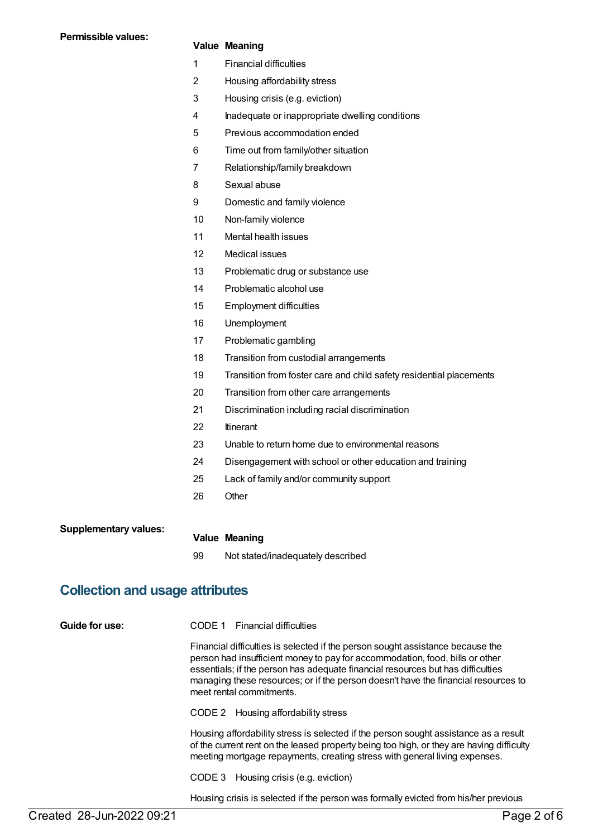### **Value Meaning**

- 1 Financial difficulties
- 2 Housing affordability stress
- 3 Housing crisis (e.g. eviction)
- 4 Inadequate or inappropriate dwelling conditions
- 5 Previous accommodation ended
- 6 Time out from family/other situation
- 7 Relationship/family breakdown
- 8 Sexual abuse
- 9 Domestic and family violence
- 10 Non-family violence
- 11 Mental health issues
- 12 Medical issues
- 13 Problematic drug or substance use
- 14 Problematic alcohol use
- 15 Employment difficulties
- 16 Unemployment
- 17 Problematic gambling
- 18 Transition from custodial arrangements
- 19 Transition from foster care and child safety residential placements
- 20 Transition from other care arrangements
- 21 Discrimination including racial discrimination
- 22 Itinerant
- 23 Unable to return home due to environmental reasons
- 24 Disengagement with school or other education and training
- 25 Lack of family and/or community support
- 26 Other

| <b>Supplementary values:</b> |                      |  |
|------------------------------|----------------------|--|
|                              | <b>Value Meaning</b> |  |

99 Not stated/inadequately described

## **Collection and usage attributes**

**Guide for use:** CODE 1 Financial difficulties

Financial difficulties is selected if the person sought assistance because the person had insufficient money to pay for accommodation, food, bills or other essentials; if the person has adequate financial resources but has difficulties managing these resources; or if the person doesn't have the financial resources to meet rental commitments.

CODE 2 Housing affordability stress

Housing affordability stress is selected if the person sought assistance as a result of the current rent on the leased property being too high, or they are having difficulty meeting mortgage repayments, creating stress with general living expenses.

CODE 3 Housing crisis (e.g. eviction)

Housing crisis is selected if the person was formally evicted from his/her previous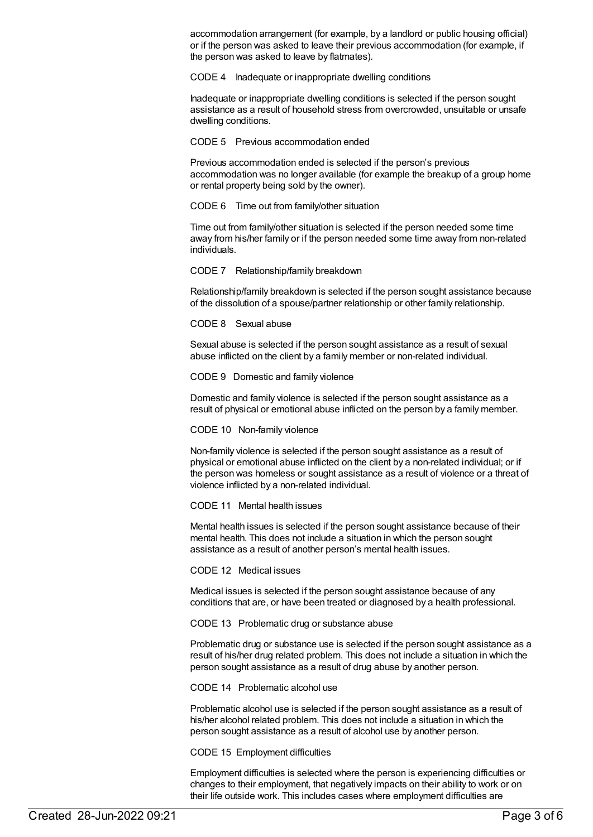accommodation arrangement (for example, by a landlord or public housing official) or if the person was asked to leave their previous accommodation (for example, if the person was asked to leave by flatmates).

CODE 4 Inadequate or inappropriate dwelling conditions

Inadequate or inappropriate dwelling conditions is selected if the person sought assistance as a result of household stress from overcrowded, unsuitable or unsafe dwelling conditions.

CODE 5 Previous accommodation ended

Previous accommodation ended is selected if the person's previous accommodation was no longer available (for example the breakup of a group home or rental property being sold by the owner).

CODE 6 Time out from family/other situation

Time out from family/other situation is selected if the person needed some time away from his/her family or if the person needed some time away from non-related individuals.

CODE 7 Relationship/family breakdown

Relationship/family breakdown is selected if the person sought assistance because of the dissolution of a spouse/partner relationship or other family relationship.

CODE 8 Sexual abuse

Sexual abuse is selected if the person sought assistance as a result of sexual abuse inflicted on the client by a family member or non-related individual.

CODE 9 Domestic and family violence

Domestic and family violence is selected if the person sought assistance as a result of physical or emotional abuse inflicted on the person by a family member.

CODE 10 Non-family violence

Non-family violence is selected if the person sought assistance as a result of physical or emotional abuse inflicted on the client by a non-related individual; or if the person was homeless or sought assistance as a result of violence or a threat of violence inflicted by a non-related individual.

CODE 11 Mental health issues

Mental health issues is selected if the person sought assistance because of their mental health. This does not include a situation in which the person sought assistance as a result of another person's mental health issues.

CODE 12 Medical issues

Medical issues is selected if the person sought assistance because of any conditions that are, or have been treated or diagnosed by a health professional.

CODE 13 Problematic drug or substance abuse

Problematic drug or substance use is selected if the person sought assistance as a result of his/her drug related problem. This does not include a situation in which the person sought assistance as a result of drug abuse by another person.

CODE 14 Problematic alcohol use

Problematic alcohol use is selected if the person sought assistance as a result of his/her alcohol related problem. This does not include a situation in which the person sought assistance as a result of alcohol use by another person.

CODE 15 Employment difficulties

Employment difficulties is selected where the person is experiencing difficulties or changes to their employment, that negatively impacts on their ability to work or on their life outside work. This includes cases where employment difficulties are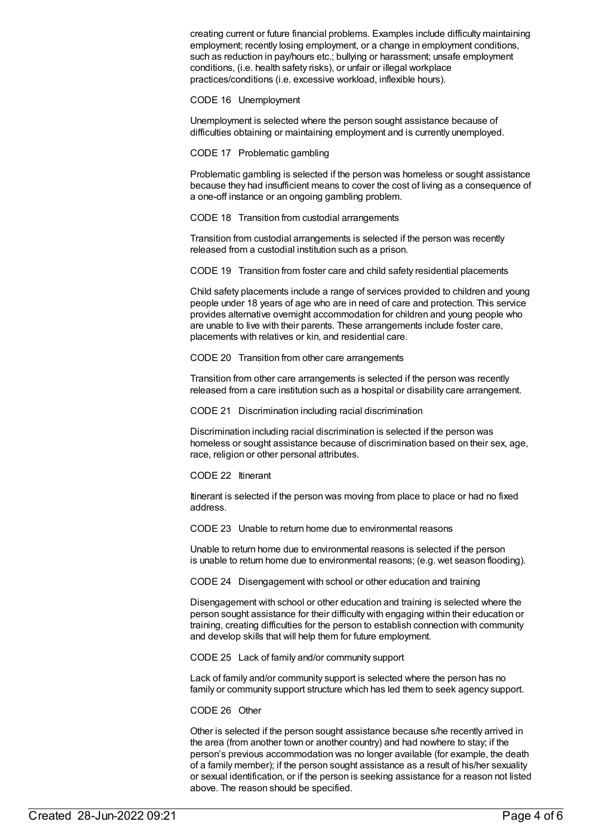creating current or future financial problems. Examples include difficulty maintaining employment; recently losing employment, or a change in employment conditions, such as reduction in pay/hours etc.; bullying or harassment; unsafe employment conditions, (i.e. health safety risks), or unfair or illegal workplace practices/conditions (i.e. excessive workload, inflexible hours).

CODE 16 Unemployment

Unemployment is selected where the person sought assistance because of difficulties obtaining or maintaining employment and is currently unemployed.

CODE 17 Problematic gambling

Problematic gambling is selected if the person was homeless or sought assistance because they had insufficient means to cover the cost of living as a consequence of a one-off instance or an ongoing gambling problem.

CODE 18 Transition from custodial arrangements

Transition from custodial arrangements is selected if the person was recently released from a custodial institution such as a prison.

CODE 19 Transition from foster care and child safety residential placements

Child safety placements include a range of services provided to children and young people under 18 years of age who are in need of care and protection. This service provides alternative overnight accommodation for children and young people who are unable to live with their parents. These arrangements include foster care, placements with relatives or kin, and residential care.

CODE 20 Transition from other care arrangements

Transition from other care arrangements is selected if the person was recently released from a care institution such as a hospital or disability care arrangement.

CODE 21 Discrimination including racial discrimination

Discrimination including racial discrimination is selected if the person was homeless or sought assistance because of discrimination based on their sex, age, race, religion or other personal attributes.

CODE 22 Itinerant

Itinerant is selected if the person was moving from place to place or had no fixed address.

CODE 23 Unable to return home due to environmental reasons

Unable to return home due to environmental reasons is selected if the person is unable to return home due to environmental reasons; (e.g. wet season flooding).

CODE 24 Disengagement with school or other education and training

Disengagement with school or other education and training is selected where the person sought assistance for their difficulty with engaging within their education or training, creating difficulties for the person to establish connection with community and develop skills that will help them for future employment.

CODE 25 Lack of family and/or community support

Lack of family and/or community support is selected where the person has no family or community support structure which has led them to seek agency support.

#### CODE 26 Other

Other is selected if the person sought assistance because s/he recently arrived in the area (from another town or another country) and had nowhere to stay; if the person's previous accommodation was no longer available (for example, the death of a family member); if the person sought assistance as a result of his/her sexuality or sexual identification, or if the person is seeking assistance for a reason not listed above. The reason should be specified.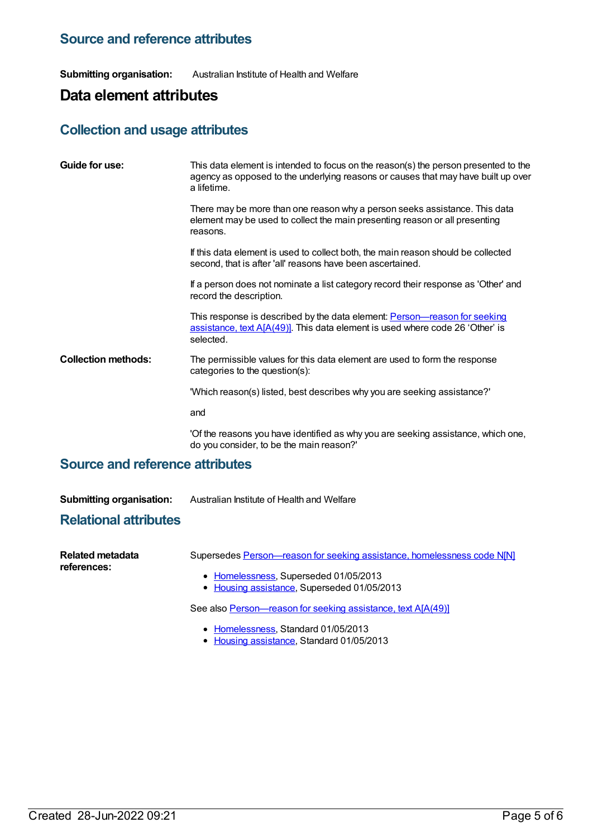### **Source and reference attributes**

**Submitting organisation:** Australian Institute of Health and Welfare

# **Data element attributes**

### **Collection and usage attributes**

| Guide for use:             | This data element is intended to focus on the reason(s) the person presented to the<br>agency as opposed to the underlying reasons or causes that may have built up over<br>a lifetime. |
|----------------------------|-----------------------------------------------------------------------------------------------------------------------------------------------------------------------------------------|
|                            | There may be more than one reason why a person seeks assistance. This data<br>element may be used to collect the main presenting reason or all presenting<br>reasons.                   |
|                            | If this data element is used to collect both, the main reason should be collected<br>second, that is after 'all' reasons have been ascertained.                                         |
|                            | If a person does not nominate a list category record their response as 'Other' and<br>record the description.                                                                           |
|                            | This response is described by the data element: <b>Person—reason for seeking</b><br>assistance, text A[A(49)]. This data element is used where code 26 'Other' is<br>selected.          |
| <b>Collection methods:</b> | The permissible values for this data element are used to form the response<br>categories to the question(s):                                                                            |
|                            | "Which reason(s) listed, best describes why you are seeking assistance?"                                                                                                                |
|                            | and                                                                                                                                                                                     |
|                            | 'Of the reasons you have identified as why you are seeking assistance, which one,<br>do you consider, to be the main reason?'                                                           |

### **Source and reference attributes**

**Submitting organisation:** Australian Institute of Health and Welfare

### **Relational attributes**

| Related metadata<br>references: | Supersedes Person-reason for seeking assistance, homelessness code N[N] |
|---------------------------------|-------------------------------------------------------------------------|
|                                 | • Homelessness, Superseded 01/05/2013                                   |
|                                 | • Housing assistance, Superseded 01/05/2013                             |
|                                 | See also Person-reason for seeking assistance, text A[A(49)]            |
|                                 | • Homelessness, Standard 01/05/2013                                     |

Housing [assistance](https://meteor.aihw.gov.au/RegistrationAuthority/11), Standard 01/05/2013